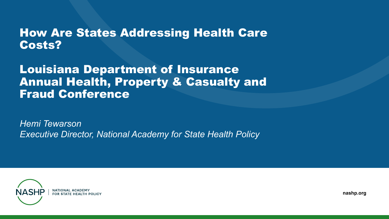#### How Are States Addressing Health Care Costs?

#### Louisiana Department of Insurance Annual Health, Property & Casualty and Fraud Conference

*Hemi Tewarson Executive Director, National Academy for State Health Policy*



**nashp.org**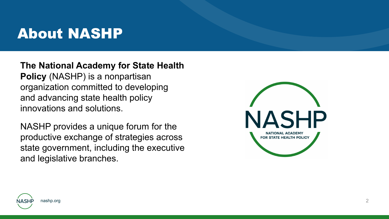## About NASHP

**The National Academy for State Health Policy** (NASHP) is a nonpartisan organization committed to developing and advancing state health policy innovations and solutions.

NASHP provides a unique forum for the productive exchange of strategies across state government, including the executive and legislative branches.



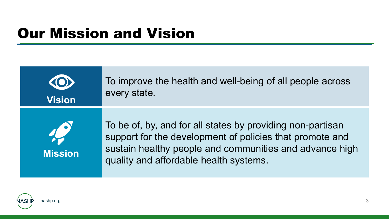# Our Mission and Vision

| <b>Vision</b>  | To improve the health and well-being of all people across<br>every state.                                                                                                                                                   |
|----------------|-----------------------------------------------------------------------------------------------------------------------------------------------------------------------------------------------------------------------------|
| <b>Mission</b> | To be of, by, and for all states by providing non-partisan<br>support for the development of policies that promote and<br>sustain healthy people and communities and advance high<br>quality and affordable health systems. |

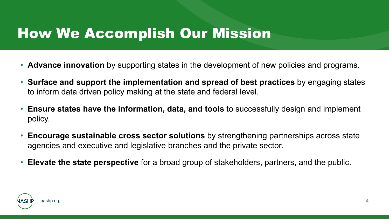## How We Accomplish Our Mission

- **Advance innovation** by supporting states in the development of new policies and programs.
- **Surface and support the implementation and spread of best practices** by engaging states to inform data driven policy making at the state and federal level.
- **Ensure states have the information, data, and tools** to successfully design and implement policy.
- **Encourage sustainable cross sector solutions** by strengthening partnerships across state agencies and executive and legislative branches and the private sector.
- **Elevate the state perspective** for a broad group of stakeholders, partners, and the public.

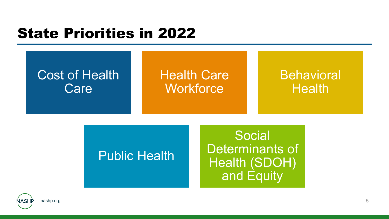# State Priorities in 2022



#### Public Health

Social Determinants of Health (SDOH) and Equity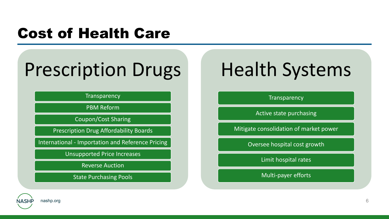# Cost of Health Care

# Prescription Drugs

**Transparency** 

PBM Reform

Coupon/Cost Sharing

Prescription Drug Affordability Boards

International - Importation and Reference Pricing

Unsupported Price Increases

Reverse Auction

State Purchasing Pools

# Health Systems

**Transparency** 

Active state purchasing

Mitigate consolidation of market power

Oversee hospital cost growth

Limit hospital rates

Multi-payer efforts

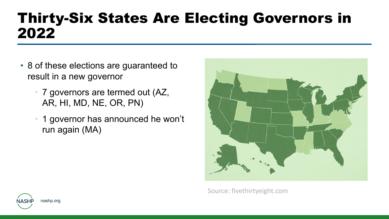# Thirty-Six States Are Electing Governors in 2022

- 8 of these elections are guaranteed to result in a new governor
	- 7 governors are termed out (AZ, AR, HI, MD, NE, OR, PN)
	- 1 governor has announced he won't run again (MA)



Source: fivethirtyeight.com